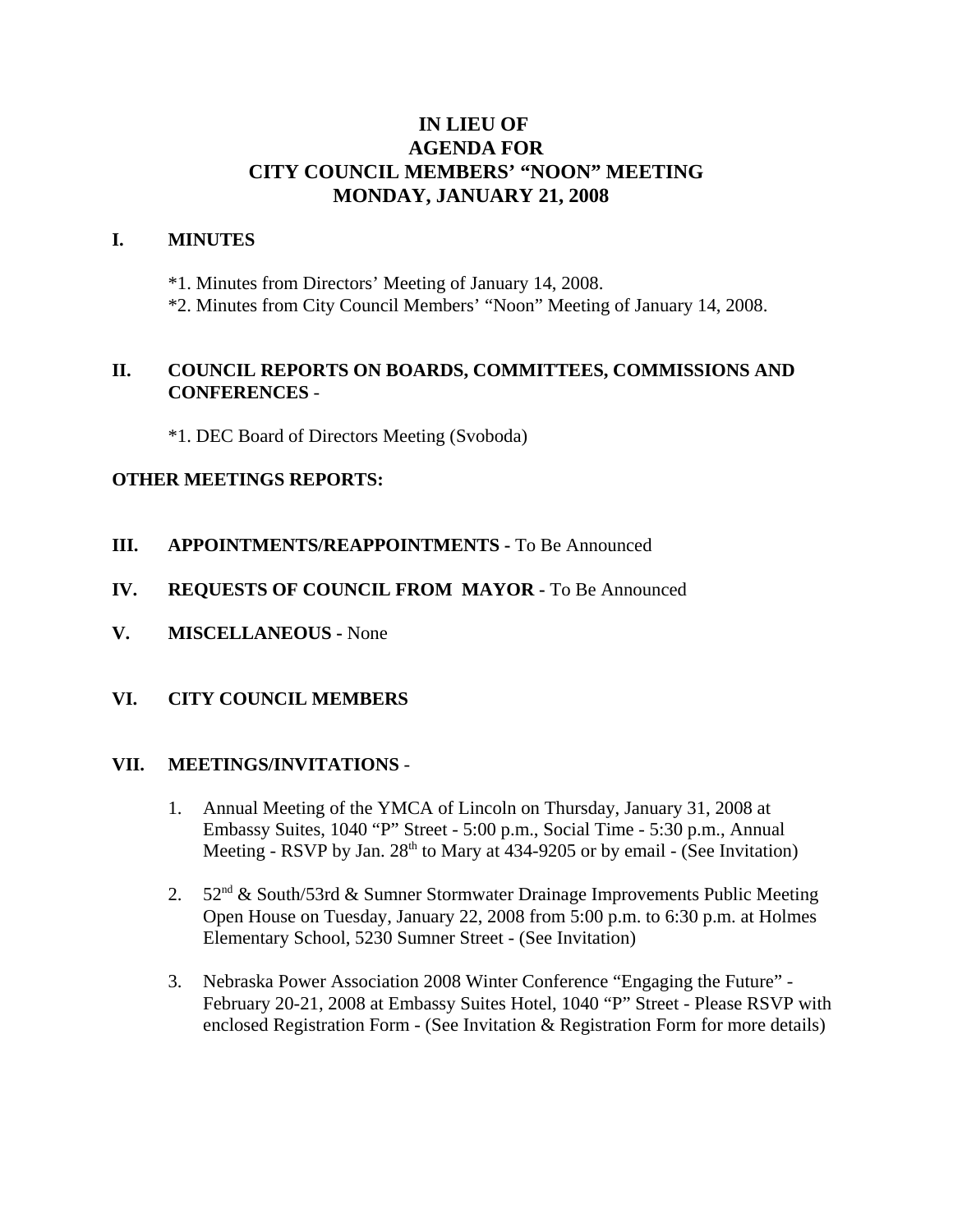# **IN LIEU OF AGENDA FOR CITY COUNCIL MEMBERS' "NOON" MEETING MONDAY, JANUARY 21, 2008**

#### **I. MINUTES**

\*1. Minutes from Directors' Meeting of January 14, 2008.

\*2. Minutes from City Council Members' "Noon" Meeting of January 14, 2008.

### **II. COUNCIL REPORTS ON BOARDS, COMMITTEES, COMMISSIONS AND CONFERENCES** -

\*1. DEC Board of Directors Meeting (Svoboda)

#### **OTHER MEETINGS REPORTS:**

- **III.** APPOINTMENTS/REAPPOINTMENTS To Be Announced
- **IV. REQUESTS OF COUNCIL FROM MAYOR -** To Be Announced
- **V. MISCELLANEOUS -** None

### **VI. CITY COUNCIL MEMBERS**

#### **VII. MEETINGS/INVITATIONS** -

- 1. Annual Meeting of the YMCA of Lincoln on Thursday, January 31, 2008 at Embassy Suites, 1040 "P" Street - 5:00 p.m., Social Time - 5:30 p.m., Annual Meeting - RSVP by Jan.  $28<sup>th</sup>$  to Mary at 434-9205 or by email - (See Invitation)
- 2. 52<sup>nd</sup> & South/53rd & Sumner Stormwater Drainage Improvements Public Meeting Open House on Tuesday, January 22, 2008 from 5:00 p.m. to 6:30 p.m. at Holmes Elementary School, 5230 Sumner Street - (See Invitation)
- 3. Nebraska Power Association 2008 Winter Conference "Engaging the Future" February 20-21, 2008 at Embassy Suites Hotel, 1040 "P" Street - Please RSVP with enclosed Registration Form - (See Invitation & Registration Form for more details)